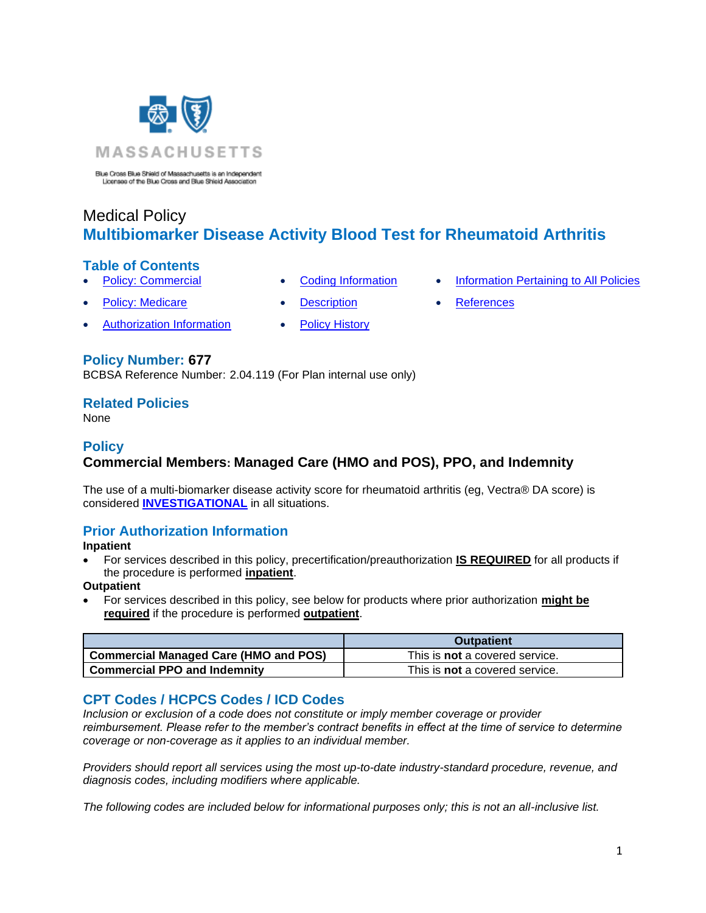

Blue Cross Blue Shield of Massachusetts is an Independent<br>Licensee of the Blue Cross and Blue Shield Association

# Medical Policy **Multibiomarker Disease Activity Blood Test for Rheumatoid Arthritis**

### **Table of Contents**

- 
- 
- **[Policy: Commercial](#page-0-0) [Coding Information](#page-0-1) [Information Pertaining to All Policies](#page-4-0)**
- **[Policy: Medicare](#page-0-0) [Description](#page-1-0) [References](#page-4-1)** 
	-
	- [Authorization Information](#page-0-2) [Policy History](#page-3-0)
- 

### **Policy Number: 677**

BCBSA Reference Number: 2.04.119 (For Plan internal use only)

### **Related Policies**

<span id="page-0-0"></span>None

### **Policy Commercial Members: Managed Care (HMO and POS), PPO, and Indemnity**

The use of a multi-biomarker disease activity score for rheumatoid arthritis (eg, Vectra® DA score) is considered **[INVESTIGATIONAL](https://www.bluecrossma.org/medical-policies/sites/g/files/csphws2091/files/acquiadam-assets/Definition%20of%20Med%20Nec%20Inv%20Not%20Med%20Nec%20prn.pdf#page=1)** in all situations.

### <span id="page-0-2"></span>**Prior Authorization Information**

**Inpatient**

• For services described in this policy, precertification/preauthorization **IS REQUIRED** for all products if the procedure is performed **inpatient**.

### **Outpatient**

• For services described in this policy, see below for products where prior authorization **might be required** if the procedure is performed **outpatient**.

|                                              | <b>Outpatient</b>                     |
|----------------------------------------------|---------------------------------------|
| <b>Commercial Managed Care (HMO and POS)</b> | This is <b>not</b> a covered service. |
| <b>Commercial PPO and Indemnity</b>          | This is <b>not</b> a covered service. |

### <span id="page-0-1"></span>**CPT Codes / HCPCS Codes / ICD Codes**

*Inclusion or exclusion of a code does not constitute or imply member coverage or provider reimbursement. Please refer to the member's contract benefits in effect at the time of service to determine coverage or non-coverage as it applies to an individual member.*

*Providers should report all services using the most up-to-date industry-standard procedure, revenue, and diagnosis codes, including modifiers where applicable.*

*The following codes are included below for informational purposes only; this is not an all-inclusive list.*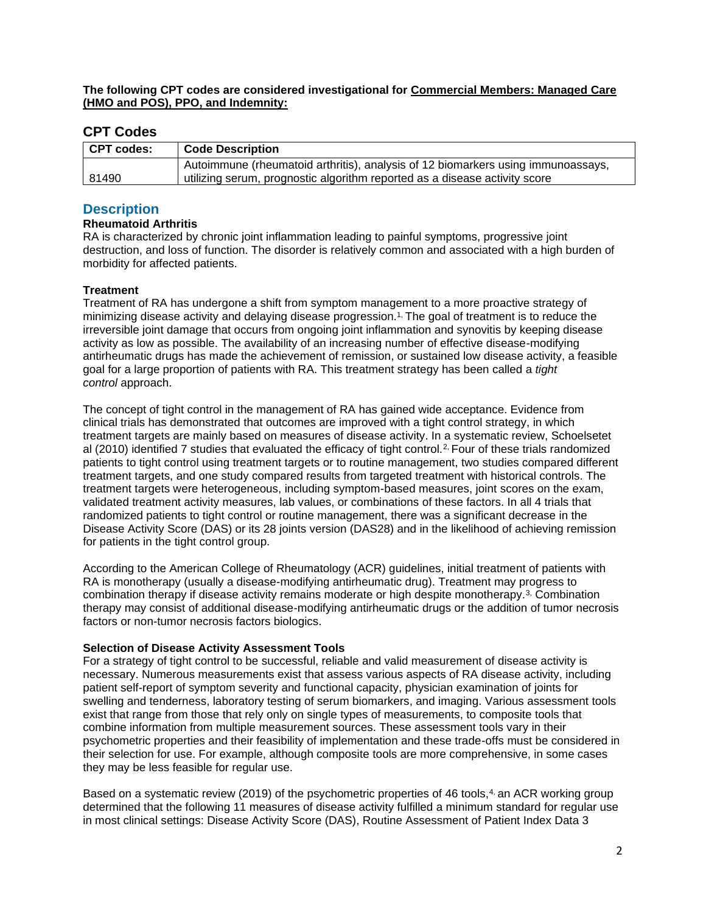**The following CPT codes are considered investigational for Commercial Members: Managed Care (HMO and POS), PPO, and Indemnity:**

### **CPT Codes**

| CPT codes: | <b>Code Description</b>                                                          |
|------------|----------------------------------------------------------------------------------|
|            | Autoimmune (rheumatoid arthritis), analysis of 12 biomarkers using immunoassays, |
| 81490      | utilizing serum, prognostic algorithm reported as a disease activity score       |

### <span id="page-1-0"></span>**Description**

#### **Rheumatoid Arthritis**

RA is characterized by chronic joint inflammation leading to painful symptoms, progressive joint destruction, and loss of function. The disorder is relatively common and associated with a high burden of morbidity for affected patients.

#### **Treatment**

Treatment of RA has undergone a shift from symptom management to a more proactive strategy of minimizing disease activity and delaying disease progression.<sup>1</sup> The goal of treatment is to reduce the irreversible joint damage that occurs from ongoing joint inflammation and synovitis by keeping disease activity as low as possible. The availability of an increasing number of effective disease-modifying antirheumatic drugs has made the achievement of remission, or sustained low disease activity, a feasible goal for a large proportion of patients with RA. This treatment strategy has been called a *tight control* approach.

The concept of tight control in the management of RA has gained wide acceptance. Evidence from clinical trials has demonstrated that outcomes are improved with a tight control strategy, in which treatment targets are mainly based on measures of disease activity. In a systematic review, Schoelsetet al (2010) identified 7 studies that evaluated the efficacy of tight control.[2,](https://www.evidencepositioningsystem.com/_w_3c770096b05088bf7aa0b08b31c92c1dec1a5635a896b9d0/BCBSA/html/_w_3c770096b05088bf7aa0b08b31c92c1dec1a5635a896b9d0/_blank) Four of these trials randomized patients to tight control using treatment targets or to routine management, two studies compared different treatment targets, and one study compared results from targeted treatment with historical controls. The treatment targets were heterogeneous, including symptom-based measures, joint scores on the exam, validated treatment activity measures, lab values, or combinations of these factors. In all 4 trials that randomized patients to tight control or routine management, there was a significant decrease in the Disease Activity Score (DAS) or its 28 joints version (DAS28) and in the likelihood of achieving remission for patients in the tight control group.

According to the American College of Rheumatology (ACR) guidelines, initial treatment of patients with RA is monotherapy (usually a disease-modifying antirheumatic drug). Treatment may progress to combination therapy if disease activity remains moderate or high despite monotherapy.[3,](https://www.evidencepositioningsystem.com/_w_3c770096b05088bf7aa0b08b31c92c1dec1a5635a896b9d0/BCBSA/html/_w_3c770096b05088bf7aa0b08b31c92c1dec1a5635a896b9d0/_blank) Combination therapy may consist of additional disease-modifying antirheumatic drugs or the addition of tumor necrosis factors or non-tumor necrosis factors biologics.

#### **Selection of Disease Activity Assessment Tools**

For a strategy of tight control to be successful, reliable and valid measurement of disease activity is necessary. Numerous measurements exist that assess various aspects of RA disease activity, including patient self-report of symptom severity and functional capacity, physician examination of joints for swelling and tenderness, laboratory testing of serum biomarkers, and imaging. Various assessment tools exist that range from those that rely only on single types of measurements, to composite tools that combine information from multiple measurement sources. These assessment tools vary in their psychometric properties and their feasibility of implementation and these trade-offs must be considered in their selection for use. For example, although composite tools are more comprehensive, in some cases they may be less feasible for regular use.

Based on a systematic review (2019) of the psychometric properties of 46 tools, $4$  an ACR working group determined that the following 11 measures of disease activity fulfilled a minimum standard for regular use in most clinical settings: Disease Activity Score (DAS), Routine Assessment of Patient Index Data 3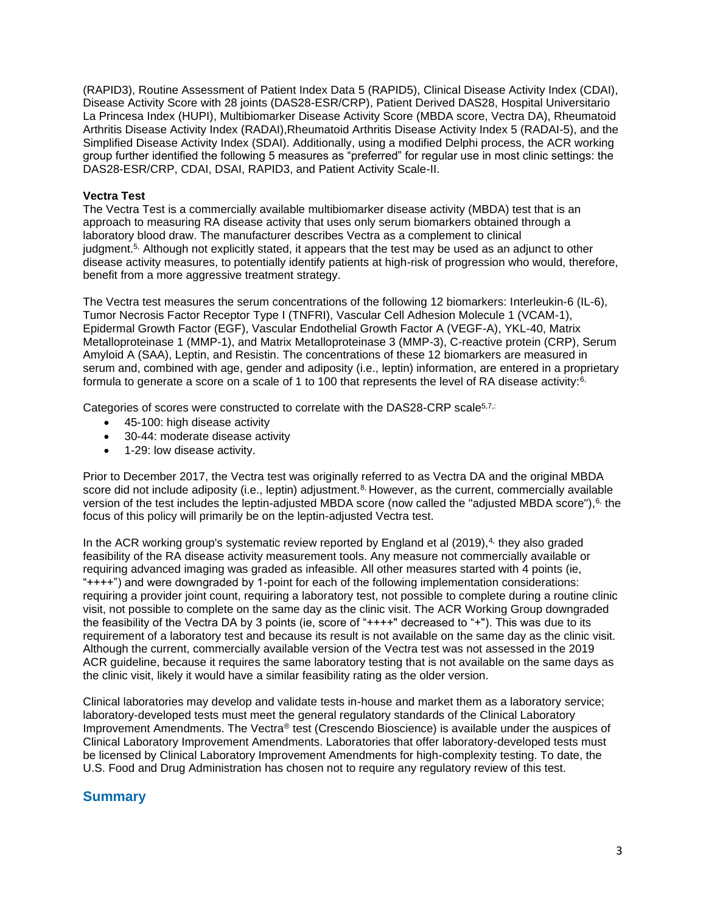(RAPID3), Routine Assessment of Patient Index Data 5 (RAPID5), Clinical Disease Activity Index (CDAI), Disease Activity Score with 28 joints (DAS28-ESR/CRP), Patient Derived DAS28, Hospital Universitario La Princesa Index (HUPI), Multibiomarker Disease Activity Score (MBDA score, Vectra DA), Rheumatoid Arthritis Disease Activity Index (RADAI),Rheumatoid Arthritis Disease Activity Index 5 (RADAI-5), and the Simplified Disease Activity Index (SDAI). Additionally, using a modified Delphi process, the ACR working group further identified the following 5 measures as "preferred" for regular use in most clinic settings: the DAS28-ESR/CRP, CDAI, DSAI, RAPID3, and Patient Activity Scale-II.

#### **Vectra Test**

The Vectra Test is a commercially available multibiomarker disease activity (MBDA) test that is an approach to measuring RA disease activity that uses only serum biomarkers obtained through a laboratory blood draw. The manufacturer describes Vectra as a complement to clinical judgment.[5,](https://www.evidencepositioningsystem.com/_w_3c770096b05088bf7aa0b08b31c92c1dec1a5635a896b9d0/BCBSA/html/_w_3c770096b05088bf7aa0b08b31c92c1dec1a5635a896b9d0/_blank) Although not explicitly stated, it appears that the test may be used as an adjunct to other disease activity measures, to potentially identify patients at high-risk of progression who would, therefore, benefit from a more aggressive treatment strategy.

The Vectra test measures the serum concentrations of the following 12 biomarkers: Interleukin-6 (IL-6), Tumor Necrosis Factor Receptor Type I (TNFRI), Vascular Cell Adhesion Molecule 1 (VCAM-1), Epidermal Growth Factor (EGF), Vascular Endothelial Growth Factor A (VEGF-A), YKL-40, Matrix Metalloproteinase 1 (MMP-1), and Matrix Metalloproteinase 3 (MMP-3), C-reactive protein (CRP), Serum Amyloid A (SAA), Leptin, and Resistin. The concentrations of these 12 biomarkers are measured in serum and, combined with age, gender and adiposity (i.e., leptin) information, are entered in a proprietary formula to generate a score on a scale of 1 to 100 that represents the level of RA disease activity: $6$ ,

Categories of scores were constructed to correlate with the DAS28-CRP scale<sup>[5,7,:](https://www.evidencepositioningsystem.com/_w_3c770096b05088bf7aa0b08b31c92c1dec1a5635a896b9d0/BCBSA/html/_w_3c770096b05088bf7aa0b08b31c92c1dec1a5635a896b9d0/_blank)</sup>

- 45-100: high disease activity
- 30-44: moderate disease activity
- 1-29: low disease activity.

Prior to December 2017, the Vectra test was originally referred to as Vectra DA and the original MBDA score did not include adiposity (i.e., leptin) adjustment. $8$ , However, as the current, commercially available version of the test includes the leptin-adjusted MBDA score (now called the "adjusted MBDA score"),<sup>[6,](https://www.evidencepositioningsystem.com/_w_3c770096b05088bf7aa0b08b31c92c1dec1a5635a896b9d0/BCBSA/html/_w_3c770096b05088bf7aa0b08b31c92c1dec1a5635a896b9d0/_blank)</sup> the focus of this policy will primarily be on the leptin-adjusted Vectra test.

In the ACR working group's systematic review reported by England et al  $(2019)$ ,<sup>[4,](https://www.evidencepositioningsystem.com/_w_3c770096b05088bf7aa0b08b31c92c1dec1a5635a896b9d0/BCBSA/html/_w_3c770096b05088bf7aa0b08b31c92c1dec1a5635a896b9d0/_blank)</sup> they also graded feasibility of the RA disease activity measurement tools. Any measure not commercially available or requiring advanced imaging was graded as infeasible. All other measures started with 4 points (ie, "++++") and were downgraded by 1-point for each of the following implementation considerations: requiring a provider joint count, requiring a laboratory test, not possible to complete during a routine clinic visit, not possible to complete on the same day as the clinic visit. The ACR Working Group downgraded the feasibility of the Vectra DA by 3 points (ie, score of "++++" decreased to "+"). This was due to its requirement of a laboratory test and because its result is not available on the same day as the clinic visit. Although the current, commercially available version of the Vectra test was not assessed in the 2019 ACR guideline, because it requires the same laboratory testing that is not available on the same days as the clinic visit, likely it would have a similar feasibility rating as the older version.

Clinical laboratories may develop and validate tests in-house and market them as a laboratory service; laboratory-developed tests must meet the general regulatory standards of the Clinical Laboratory Improvement Amendments. The Vectra® test (Crescendo Bioscience) is available under the auspices of Clinical Laboratory Improvement Amendments. Laboratories that offer laboratory-developed tests must be licensed by Clinical Laboratory Improvement Amendments for high-complexity testing. To date, the U.S. Food and Drug Administration has chosen not to require any regulatory review of this test.

### **Summary**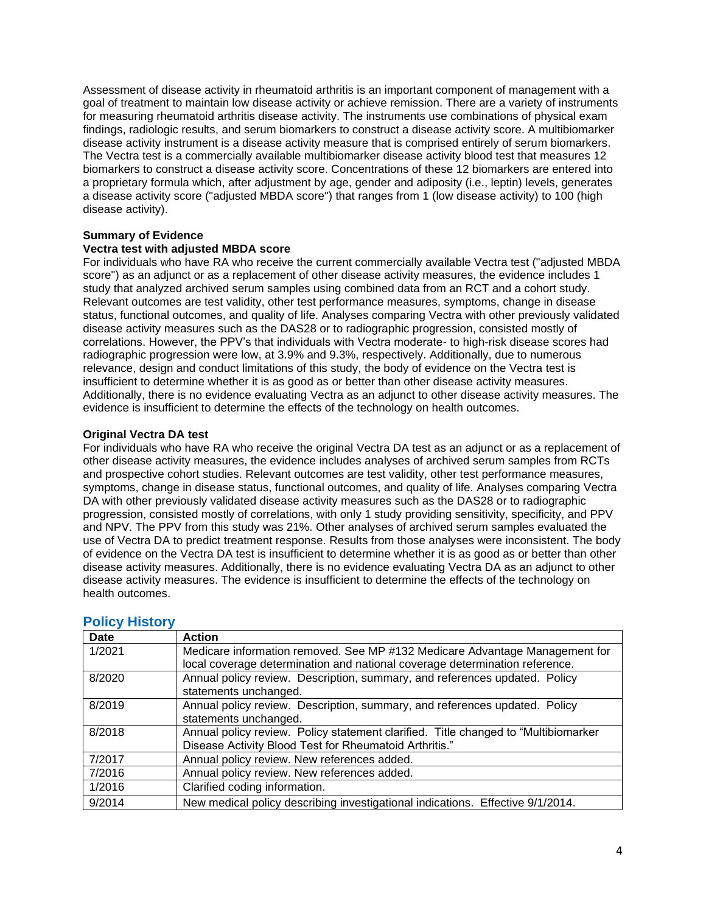Assessment of disease activity in rheumatoid arthritis is an important component of management with a goal of treatment to maintain low disease activity or achieve remission. There are a variety of instruments for measuring rheumatoid arthritis disease activity. The instruments use combinations of physical exam findings, radiologic results, and serum biomarkers to construct a disease activity score. A multibiomarker disease activity instrument is a disease activity measure that is comprised entirely of serum biomarkers. The Vectra test is a commercially available multibiomarker disease activity blood test that measures 12 biomarkers to construct a disease activity score. Concentrations of these 12 biomarkers are entered into a proprietary formula which, after adjustment by age, gender and adiposity (i.e., leptin) levels, generates a disease activity score ("adjusted MBDA score") that ranges from 1 (low disease activity) to 100 (high disease activity).

#### **Summary of Evidence**

#### **Vectra test with adjusted MBDA score**

For individuals who have RA who receive the current commercially available Vectra test ("adjusted MBDA score") as an adjunct or as a replacement of other disease activity measures, the evidence includes 1 study that analyzed archived serum samples using combined data from an RCT and a cohort study. Relevant outcomes are test validity, other test performance measures, symptoms, change in disease status, functional outcomes, and quality of life. Analyses comparing Vectra with other previously validated disease activity measures such as the DAS28 or to radiographic progression, consisted mostly of correlations. However, the PPV's that individuals with Vectra moderate- to high-risk disease scores had radiographic progression were low, at 3.9% and 9.3%, respectively. Additionally, due to numerous relevance, design and conduct limitations of this study, the body of evidence on the Vectra test is insufficient to determine whether it is as good as or better than other disease activity measures. Additionally, there is no evidence evaluating Vectra as an adjunct to other disease activity measures. The evidence is insufficient to determine the effects of the technology on health outcomes.

#### **Original Vectra DA test**

For individuals who have RA who receive the original Vectra DA test as an adjunct or as a replacement of other disease activity measures, the evidence includes analyses of archived serum samples from RCTs and prospective cohort studies. Relevant outcomes are test validity, other test performance measures, symptoms, change in disease status, functional outcomes, and quality of life. Analyses comparing Vectra DA with other previously validated disease activity measures such as the DAS28 or to radiographic progression, consisted mostly of correlations, with only 1 study providing sensitivity, specificity, and PPV and NPV. The PPV from this study was 21%. Other analyses of archived serum samples evaluated the use of Vectra DA to predict treatment response. Results from those analyses were inconsistent. The body of evidence on the Vectra DA test is insufficient to determine whether it is as good as or better than other disease activity measures. Additionally, there is no evidence evaluating Vectra DA as an adjunct to other disease activity measures. The evidence is insufficient to determine the effects of the technology on health outcomes.

| Date   | <b>Action</b>                                                                       |
|--------|-------------------------------------------------------------------------------------|
| 1/2021 | Medicare information removed. See MP #132 Medicare Advantage Management for         |
|        | local coverage determination and national coverage determination reference.         |
| 8/2020 | Annual policy review. Description, summary, and references updated. Policy          |
|        | statements unchanged.                                                               |
| 8/2019 | Annual policy review. Description, summary, and references updated. Policy          |
|        | statements unchanged.                                                               |
| 8/2018 | Annual policy review. Policy statement clarified. Title changed to "Multibiomarker" |
|        | Disease Activity Blood Test for Rheumatoid Arthritis."                              |
| 7/2017 | Annual policy review. New references added.                                         |
| 7/2016 | Annual policy review. New references added.                                         |
| 1/2016 | Clarified coding information.                                                       |
| 9/2014 | New medical policy describing investigational indications. Effective 9/1/2014.      |

### <span id="page-3-0"></span>**Policy History**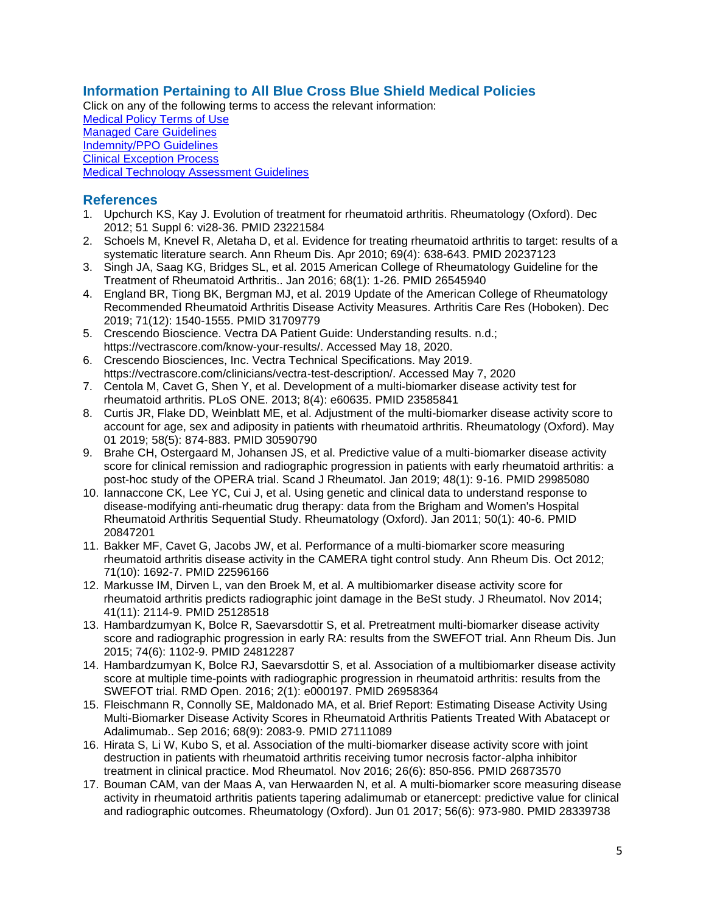# <span id="page-4-0"></span>**Information Pertaining to All Blue Cross Blue Shield Medical Policies**

Click on any of the following terms to access the relevant information: [Medical Policy Terms of Use](http://www.bluecrossma.org/medical-policies/sites/g/files/csphws2091/files/acquiadam-assets/Medical_Policy_Terms_of_Use_prn.pdf) [Managed Care Guidelines](http://www.bluecrossma.org/medical-policies/sites/g/files/csphws2091/files/acquiadam-assets/Managed_Care_Guidelines_prn.pdf) [Indemnity/PPO Guidelines](http://www.bluecrossma.org/medical-policies/sites/g/files/csphws2091/files/acquiadam-assets/Indemnity_and_PPO_Guidelines_prn.pdf) [Clinical Exception Process](http://www.bluecrossma.org/medical-policies/sites/g/files/csphws2091/files/acquiadam-assets/Clinical_Exception_Process_prn.pdf) [Medical Technology Assessment Guidelines](http://www.bluecrossma.org/medical-policies/sites/g/files/csphws2091/files/acquiadam-assets/Medical_Technology_Assessment_Guidelines_prn.pdf)

# <span id="page-4-1"></span>**References**

- 1. Upchurch KS, Kay J. Evolution of treatment for rheumatoid arthritis. Rheumatology (Oxford). Dec 2012; 51 Suppl 6: vi28-36. PMID 23221584
- 2. Schoels M, Knevel R, Aletaha D, et al. Evidence for treating rheumatoid arthritis to target: results of a systematic literature search. Ann Rheum Dis. Apr 2010; 69(4): 638-643. PMID 20237123
- 3. Singh JA, Saag KG, Bridges SL, et al. 2015 American College of Rheumatology Guideline for the Treatment of Rheumatoid Arthritis.. Jan 2016; 68(1): 1-26. PMID 26545940
- 4. England BR, Tiong BK, Bergman MJ, et al. 2019 Update of the American College of Rheumatology Recommended Rheumatoid Arthritis Disease Activity Measures. Arthritis Care Res (Hoboken). Dec 2019; 71(12): 1540-1555. PMID 31709779
- 5. Crescendo Bioscience. Vectra DA Patient Guide: Understanding results. n.d.; https://vectrascore.com/know-your-results/. Accessed May 18, 2020.
- 6. Crescendo Biosciences, Inc. Vectra Technical Specifications. May 2019. https://vectrascore.com/clinicians/vectra-test-description/. Accessed May 7, 2020
- 7. Centola M, Cavet G, Shen Y, et al. Development of a multi-biomarker disease activity test for rheumatoid arthritis. PLoS ONE. 2013; 8(4): e60635. PMID 23585841
- 8. Curtis JR, Flake DD, Weinblatt ME, et al. Adjustment of the multi-biomarker disease activity score to account for age, sex and adiposity in patients with rheumatoid arthritis. Rheumatology (Oxford). May 01 2019; 58(5): 874-883. PMID 30590790
- 9. Brahe CH, Ostergaard M, Johansen JS, et al. Predictive value of a multi-biomarker disease activity score for clinical remission and radiographic progression in patients with early rheumatoid arthritis: a post-hoc study of the OPERA trial. Scand J Rheumatol. Jan 2019; 48(1): 9-16. PMID 29985080
- 10. Iannaccone CK, Lee YC, Cui J, et al. Using genetic and clinical data to understand response to disease-modifying anti-rheumatic drug therapy: data from the Brigham and Women's Hospital Rheumatoid Arthritis Sequential Study. Rheumatology (Oxford). Jan 2011; 50(1): 40-6. PMID 20847201
- 11. Bakker MF, Cavet G, Jacobs JW, et al. Performance of a multi-biomarker score measuring rheumatoid arthritis disease activity in the CAMERA tight control study. Ann Rheum Dis. Oct 2012; 71(10): 1692-7. PMID 22596166
- 12. Markusse IM, Dirven L, van den Broek M, et al. A multibiomarker disease activity score for rheumatoid arthritis predicts radiographic joint damage in the BeSt study. J Rheumatol. Nov 2014; 41(11): 2114-9. PMID 25128518
- 13. Hambardzumyan K, Bolce R, Saevarsdottir S, et al. Pretreatment multi-biomarker disease activity score and radiographic progression in early RA: results from the SWEFOT trial. Ann Rheum Dis. Jun 2015; 74(6): 1102-9. PMID 24812287
- 14. Hambardzumyan K, Bolce RJ, Saevarsdottir S, et al. Association of a multibiomarker disease activity score at multiple time-points with radiographic progression in rheumatoid arthritis: results from the SWEFOT trial. RMD Open. 2016; 2(1): e000197. PMID 26958364
- 15. Fleischmann R, Connolly SE, Maldonado MA, et al. Brief Report: Estimating Disease Activity Using Multi-Biomarker Disease Activity Scores in Rheumatoid Arthritis Patients Treated With Abatacept or Adalimumab.. Sep 2016; 68(9): 2083-9. PMID 27111089
- 16. Hirata S, Li W, Kubo S, et al. Association of the multi-biomarker disease activity score with joint destruction in patients with rheumatoid arthritis receiving tumor necrosis factor-alpha inhibitor treatment in clinical practice. Mod Rheumatol. Nov 2016; 26(6): 850-856. PMID 26873570
- 17. Bouman CAM, van der Maas A, van Herwaarden N, et al. A multi-biomarker score measuring disease activity in rheumatoid arthritis patients tapering adalimumab or etanercept: predictive value for clinical and radiographic outcomes. Rheumatology (Oxford). Jun 01 2017; 56(6): 973-980. PMID 28339738